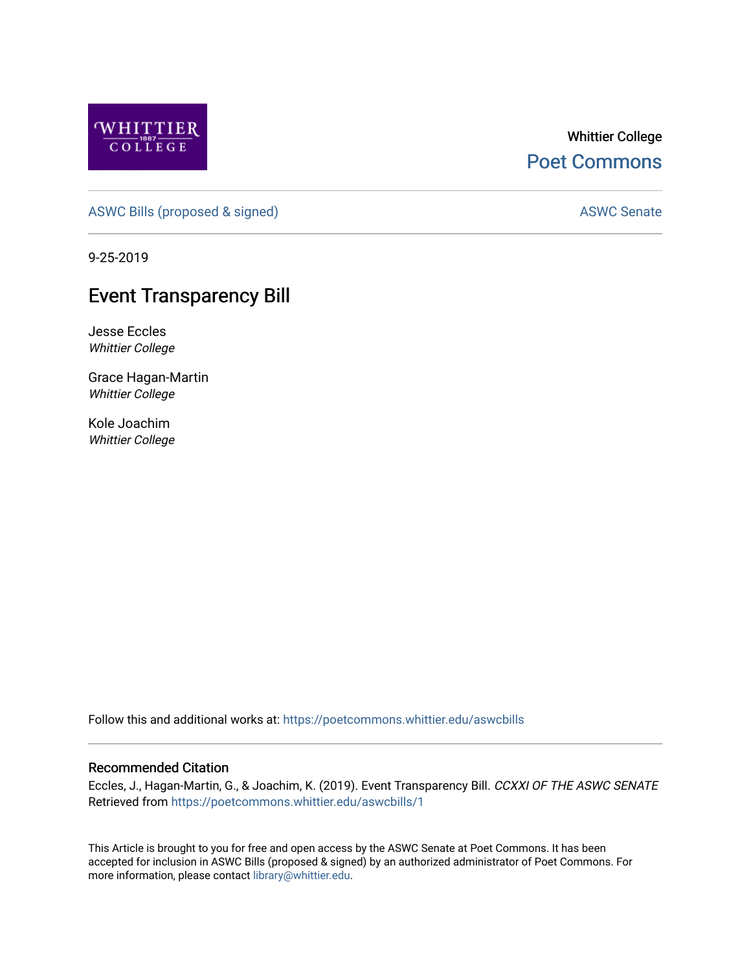

## Whittier College [Poet Commons](https://poetcommons.whittier.edu/)

[ASWC Bills \(proposed & signed\)](https://poetcommons.whittier.edu/aswcbills) ASWC Senate

9-25-2019

## **Event Transparency Bill**

Jesse Eccles Whittier College

Grace Hagan-Martin Whittier College

Kole Joachim Whittier College

Follow this and additional works at: [https://poetcommons.whittier.edu/aswcbills](https://poetcommons.whittier.edu/aswcbills?utm_source=poetcommons.whittier.edu%2Faswcbills%2F1&utm_medium=PDF&utm_campaign=PDFCoverPages) 

## Recommended Citation

Eccles, J., Hagan-Martin, G., & Joachim, K. (2019). Event Transparency Bill. CCXXI OF THE ASWC SENATE Retrieved from [https://poetcommons.whittier.edu/aswcbills/1](https://poetcommons.whittier.edu/aswcbills/1?utm_source=poetcommons.whittier.edu%2Faswcbills%2F1&utm_medium=PDF&utm_campaign=PDFCoverPages)

This Article is brought to you for free and open access by the ASWC Senate at Poet Commons. It has been accepted for inclusion in ASWC Bills (proposed & signed) by an authorized administrator of Poet Commons. For more information, please contact [library@whittier.edu.](mailto:library@whittier.edu)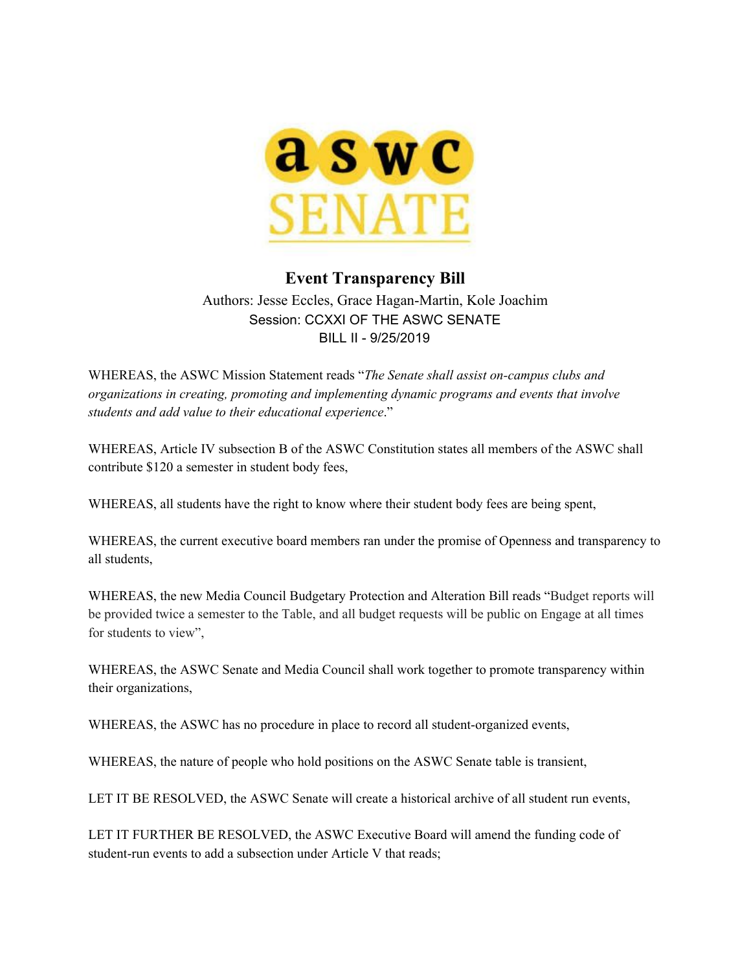

## **Event Transparency Bill** Authors: Jesse Eccles, Grace Hagan-Martin, Kole Joachim

Session: CCXXI OF THE ASWC SENATE BILL II - 9/25/2019

WHEREAS, the ASWC Mission Statement reads "*The Senate shall assist on-campus clubs and organizations in creating, promoting and implementing dynamic programs and events that involve students and add value to their educational experience*."

WHEREAS, Article IV subsection B of the ASWC Constitution states all members of the ASWC shall contribute \$120 a semester in student body fees,

WHEREAS, all students have the right to know where their student body fees are being spent,

WHEREAS, the current executive board members ran under the promise of Openness and transparency to all students,

WHEREAS, the new Media Council Budgetary Protection and Alteration Bill reads "Budget reports will be provided twice a semester to the Table, and all budget requests will be public on Engage at all times for students to view",

WHEREAS, the ASWC Senate and Media Council shall work together to promote transparency within their organizations,

WHEREAS, the ASWC has no procedure in place to record all student-organized events,

WHEREAS, the nature of people who hold positions on the ASWC Senate table is transient,

LET IT BE RESOLVED, the ASWC Senate will create a historical archive of all student run events,

LET IT FURTHER BE RESOLVED, the ASWC Executive Board will amend the funding code of student-run events to add a subsection under Article V that reads;